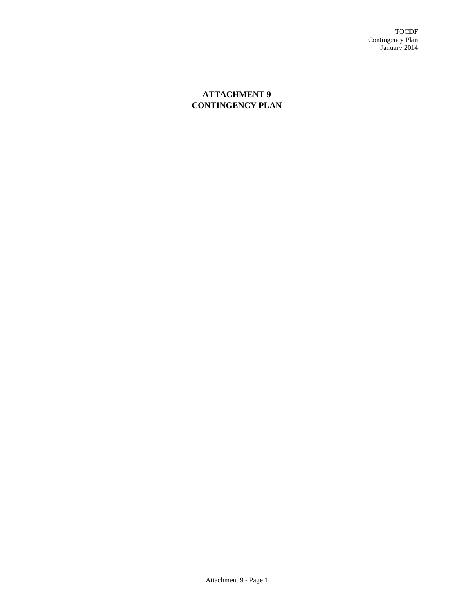TOCDF Contingency Plan January 2014

# **ATTACHMENT 9 CONTINGENCY PLAN**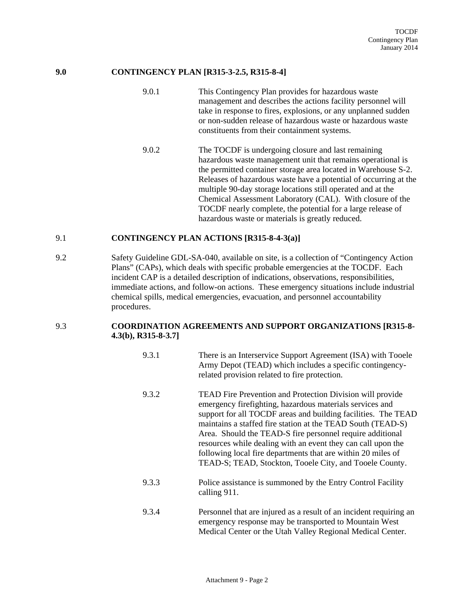### **9.0 CONTINGENCY PLAN [R315-3-2.5, R315-8-4]**

- 9.0.1 This Contingency Plan provides for hazardous waste management and describes the actions facility personnel will take in response to fires, explosions, or any unplanned sudden or non-sudden release of hazardous waste or hazardous waste constituents from their containment systems.
- 9.0.2 The TOCDF is undergoing closure and last remaining hazardous waste management unit that remains operational is the permitted container storage area located in Warehouse S-2. Releases of hazardous waste have a potential of occurring at the multiple 90-day storage locations still operated and at the Chemical Assessment Laboratory (CAL). With closure of the TOCDF nearly complete, the potential for a large release of hazardous waste or materials is greatly reduced.

#### 9.1 **CONTINGENCY PLAN ACTIONS [R315-8-4-3(a)]**

9.2 Safety Guideline GDL-SA-040, available on site, is a collection of "Contingency Action Plans" (CAPs), which deals with specific probable emergencies at the TOCDF. Each incident CAP is a detailed description of indications, observations, responsibilities, immediate actions, and follow-on actions. These emergency situations include industrial chemical spills, medical emergencies, evacuation, and personnel accountability procedures.

#### 9.3 **COORDINATION AGREEMENTS AND SUPPORT ORGANIZATIONS [R315-8- 4.3(b), R315-8-3.7]**

- 9.3.1 There is an Interservice Support Agreement (ISA) with Tooele Army Depot (TEAD) which includes a specific contingencyrelated provision related to fire protection.
- 9.3.2 TEAD Fire Prevention and Protection Division will provide emergency firefighting, hazardous materials services and support for all TOCDF areas and building facilities. The TEAD maintains a staffed fire station at the TEAD South (TEAD-S) Area. Should the TEAD-S fire personnel require additional resources while dealing with an event they can call upon the following local fire departments that are within 20 miles of TEAD-S; TEAD, Stockton, Tooele City, and Tooele County.
- 9.3.3 Police assistance is summoned by the Entry Control Facility calling 911.
- 9.3.4 Personnel that are injured as a result of an incident requiring an emergency response may be transported to Mountain West Medical Center or the Utah Valley Regional Medical Center.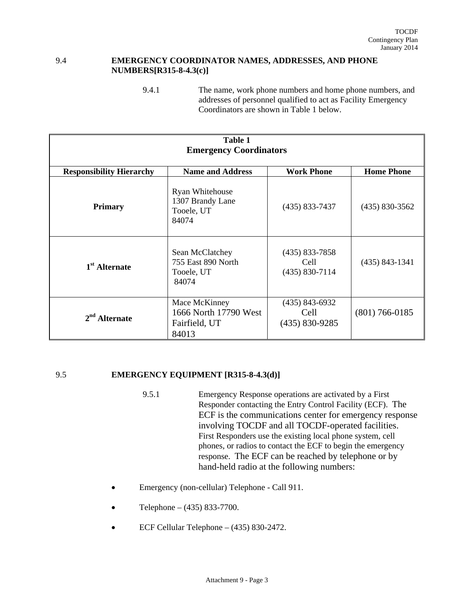#### 9.4 **EMERGENCY COORDINATOR NAMES, ADDRESSES, AND PHONE NUMBERS[R315-8-4.3(c)]**

<sup>9.4.1</sup> The name, work phone numbers and home phone numbers, and addresses of personnel qualified to act as Facility Emergency Coordinators are shown in Table 1 below.

| <b>Table 1</b>                  |                                                                  |                                                |                    |
|---------------------------------|------------------------------------------------------------------|------------------------------------------------|--------------------|
| <b>Emergency Coordinators</b>   |                                                                  |                                                |                    |
| <b>Responsibility Hierarchy</b> | <b>Name and Address</b>                                          | <b>Work Phone</b>                              | <b>Home Phone</b>  |
| <b>Primary</b>                  | Ryan Whitehouse<br>1307 Brandy Lane<br>Tooele, UT<br>84074       | $(435) 833 - 7437$                             | $(435) 830 - 3562$ |
| 1 <sup>st</sup> Alternate       | Sean McClatchey<br>755 East 890 North<br>Tooele, UT<br>84074     | $(435)$ 833-7858<br>Cell<br>$(435) 830 - 7114$ | $(435) 843 - 1341$ |
| $2nd$ Alternate                 | Mace McKinney<br>1666 North 17790 West<br>Fairfield, UT<br>84013 | (435) 843-6932<br>Cell<br>$(435) 830 - 9285$   | $(801) 766 - 0185$ |

## 9.5 **EMERGENCY EQUIPMENT [R315-8-4.3(d)]**

- 9.5.1 Emergency Response operations are activated by a First Responder contacting the Entry Control Facility (ECF). The ECF is the communications center for emergency response involving TOCDF and all TOCDF-operated facilities. First Responders use the existing local phone system, cell phones, or radios to contact the ECF to begin the emergency response. The ECF can be reached by telephone or by hand-held radio at the following numbers:
- Emergency (non-cellular) Telephone Call 911.
- Telephone (435) 833-7700.
- ECF Cellular Telephone (435) 830-2472.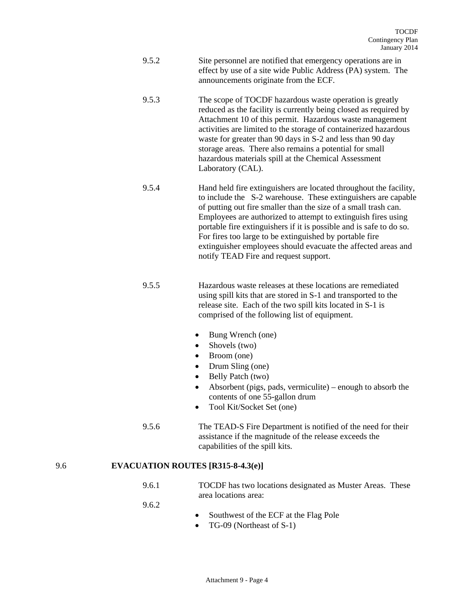- 9.5.2 Site personnel are notified that emergency operations are in effect by use of a site wide Public Address (PA) system. The announcements originate from the ECF.
- 9.5.3 The scope of TOCDF hazardous waste operation is greatly reduced as the facility is currently being closed as required by Attachment 10 of this permit. Hazardous waste management activities are limited to the storage of containerized hazardous waste for greater than 90 days in S-2 and less than 90 day storage areas. There also remains a potential for small hazardous materials spill at the Chemical Assessment Laboratory (CAL).
- 9.5.4 Hand held fire extinguishers are located throughout the facility, to include the S-2 warehouse. These extinguishers are capable of putting out fire smaller than the size of a small trash can. Employees are authorized to attempt to extinguish fires using portable fire extinguishers if it is possible and is safe to do so. For fires too large to be extinguished by portable fire extinguisher employees should evacuate the affected areas and notify TEAD Fire and request support.
- 9.5.5 Hazardous waste releases at these locations are remediated using spill kits that are stored in S-1 and transported to the release site. Each of the two spill kits located in S-1 is comprised of the following list of equipment.
	- Bung Wrench (one)
	- Shovels (two)
	- Broom (one)
	- Drum Sling (one)
	- Belly Patch (two)
	- Absorbent (pigs, pads, vermiculite) enough to absorb the contents of one 55-gallon drum
	- Tool Kit/Socket Set (one)
- 9.5.6 The TEAD-S Fire Department is notified of the need for their assistance if the magnitude of the release exceeds the capabilities of the spill kits.

#### 9.6 **EVACUATION ROUTES [R315-8-4.3(e)]**

9.6.1 TOCDF has two locations designated as Muster Areas. These area locations area:

9.6.2

- Southwest of the ECF at the Flag Pole
- TG-09 (Northeast of S-1)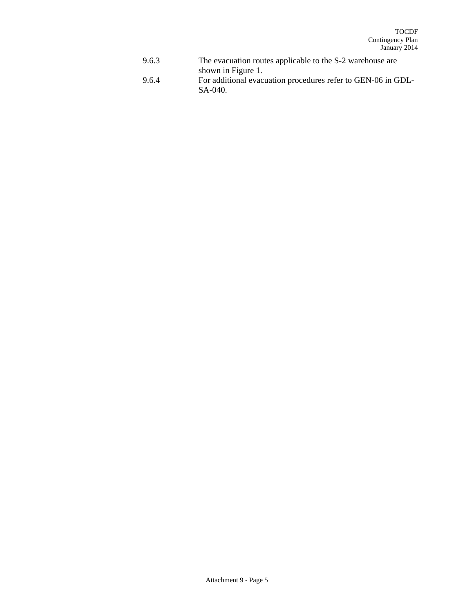- 9.6.3 The evacuation routes applicable to the S-2 warehouse are shown in Figure 1.
- 9.6.4 For additional evacuation procedures refer to GEN-06 in GDL-SA-040.